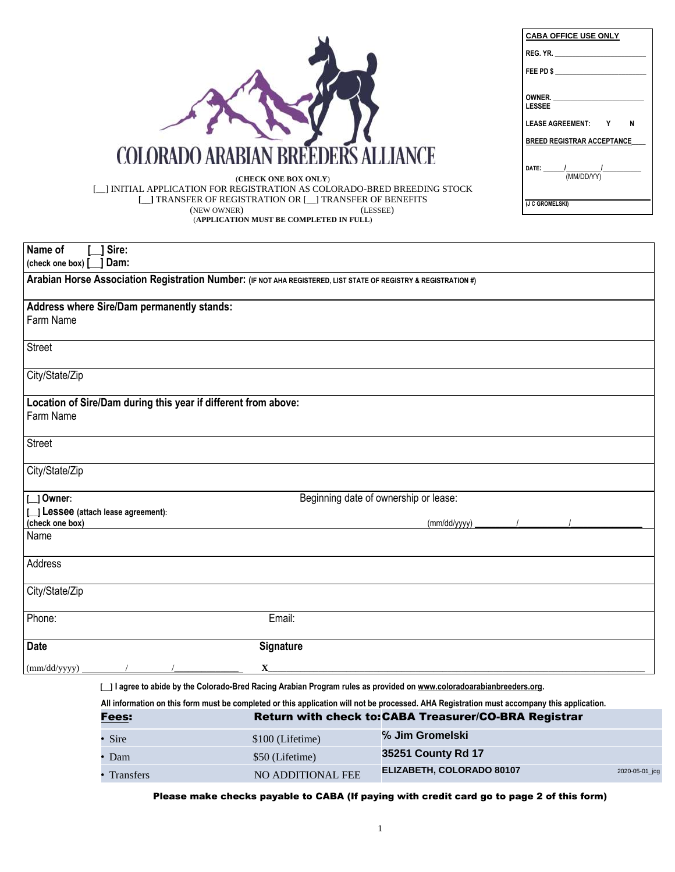1

| Name of<br>Sire:                                                                                                |                                       |  |  |  |  |  |  |
|-----------------------------------------------------------------------------------------------------------------|---------------------------------------|--|--|--|--|--|--|
| (check one box) [ ] Dam:                                                                                        |                                       |  |  |  |  |  |  |
| Arabian Horse Association Registration Number: (IF NOT AHA REGISTERED, LIST STATE OF REGISTRY & REGISTRATION #) |                                       |  |  |  |  |  |  |
|                                                                                                                 |                                       |  |  |  |  |  |  |
| Address where Sire/Dam permanently stands:                                                                      |                                       |  |  |  |  |  |  |
| <b>Farm Name</b>                                                                                                |                                       |  |  |  |  |  |  |
| <b>Street</b>                                                                                                   |                                       |  |  |  |  |  |  |
|                                                                                                                 |                                       |  |  |  |  |  |  |
| City/State/Zip                                                                                                  |                                       |  |  |  |  |  |  |
|                                                                                                                 |                                       |  |  |  |  |  |  |
| Location of Sire/Dam during this year if different from above:                                                  |                                       |  |  |  |  |  |  |
| Farm Name                                                                                                       |                                       |  |  |  |  |  |  |
| <b>Street</b>                                                                                                   |                                       |  |  |  |  |  |  |
|                                                                                                                 |                                       |  |  |  |  |  |  |
| City/State/Zip                                                                                                  |                                       |  |  |  |  |  |  |
|                                                                                                                 |                                       |  |  |  |  |  |  |
| $\lfloor$   Owner:                                                                                              | Beginning date of ownership or lease: |  |  |  |  |  |  |
| [   Lessee (attach lease agreement):                                                                            |                                       |  |  |  |  |  |  |
| (check one box)<br>Name                                                                                         | (mm/dd/yyyy)                          |  |  |  |  |  |  |
|                                                                                                                 |                                       |  |  |  |  |  |  |
| Address                                                                                                         |                                       |  |  |  |  |  |  |
|                                                                                                                 |                                       |  |  |  |  |  |  |
| City/State/Zip                                                                                                  |                                       |  |  |  |  |  |  |
|                                                                                                                 |                                       |  |  |  |  |  |  |
| Phone:                                                                                                          | Email:                                |  |  |  |  |  |  |
| <b>Date</b>                                                                                                     | <b>Signature</b>                      |  |  |  |  |  |  |
|                                                                                                                 |                                       |  |  |  |  |  |  |
| (mm/dd/yyyy)                                                                                                    | $\mathbf{X}$                          |  |  |  |  |  |  |

[ \_] I agree to abide by the Colorado-Bred Racing Arabian Program rules as provided on www.coloradoarabianbreeders.org

|                  |                   | All information on this form must be completed or this application will not be processed. AHA Registration must accompany this application. |                |
|------------------|-------------------|---------------------------------------------------------------------------------------------------------------------------------------------|----------------|
| <u>Fees:</u>     |                   | Return with check to: CABA Treasurer/CO-BRA Registrar                                                                                       |                |
| Sire             | \$100 (Lifetime)  | % Jim Gromelski                                                                                                                             |                |
| · Dam            | \$50 (Lifetime)   | 35251 County Rd 17                                                                                                                          |                |
| <b>Transfers</b> | NO ADDITIONAL FEE | ELIZABETH, COLORADO 80107                                                                                                                   | 2020-05-01_jcg |

Please make checks payable to CABA (If paying with credit card go to page 2 of this form)

(**CHECK ONE BOX ONLY**) [\_\_] INITIAL APPLICATION FOR REGISTRATION AS COLORADO-BRED BREEDING STOCK **[\_\_]** TRANSFER OF REGISTRATION OR [\_\_] TRANSFER OF BENEFITS (NEW OWNER) (LESSEE) (**APPLICATION MUST BE COMPLETED IN FULL**)



| <b>CABA OFFICE USE ONLY</b>       |
|-----------------------------------|
| REG. YR.                          |
| FEE PD \$                         |
| OWNER.<br><b>LESSEE</b>           |
| LEASE AGREEMENT: Y<br>N           |
| <b>BREED REGISTRAR ACCEPTANCE</b> |
| DATE: $\frac{1}{(MM/DD/YY)}$      |
| (J C GROMELSKI)                   |